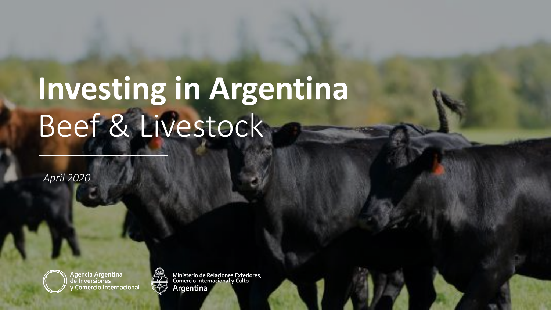# **Investing in Argentina** Beef & Livestock

*April 2020*



Agencia Argentina de Inversiones **Comercio Internacional** 



Ministerio de Relaciones Exteriores,<br>Comercio Internacional y Culto Argentina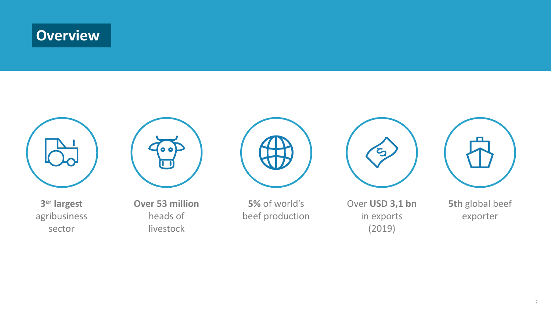# **Overview**



**3 er largest** agribusiness sector



**Over 53 million** heads of livestock



**5%** of world's beef production



Over **USD 3,1 bn**  in exports (2019)



**5th** global beef exporter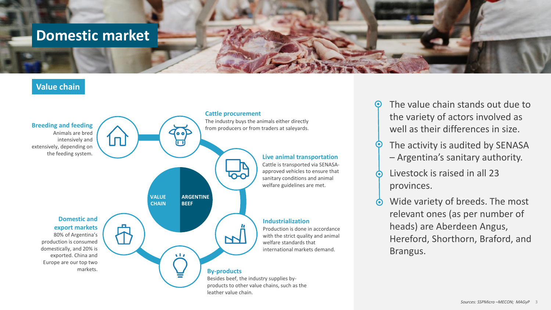### **Domestic market**

#### **Value chain**



- The value chain stands out due to the variety of actors involved as well as their differences in size.
- The activity is audited by SENASA – Argentina's sanitary authority.
- Livestock is raised in all 23 provinces.
- Wide variety of breeds. The most  $\ddot{\bullet}$ relevant ones (as per number of heads) are Aberdeen Angus, Hereford, Shorthorn, Braford, and Brangus.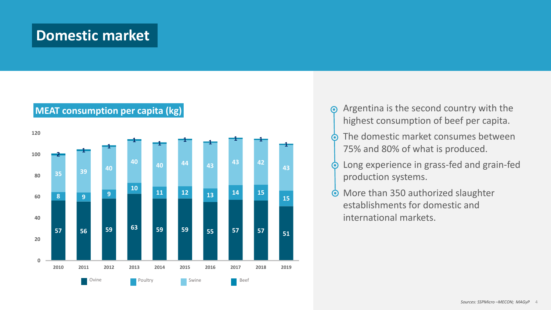### **Domestic market**



### **MEAT consumption per capita (kg)**

- Argentina is the second country with the  $\odot$ highest consumption of beef per capita.
- The domestic market consumes between  $\bullet$ 75% and 80% of what is produced.
- Long experience in grass-fed and grain-fed  $\odot$ production systems.
- More than 350 authorized slaughter  $\odot$ establishments for domestic and international markets.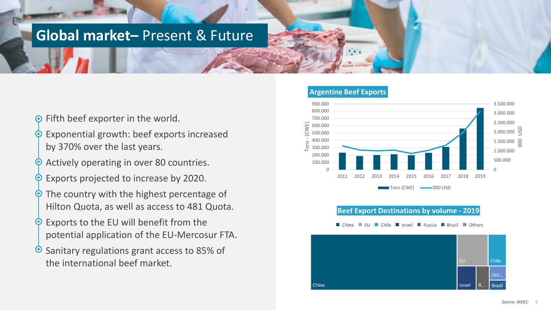### **Global market–** Present & Future

- **Exporter in the world.**
- Exponential growth: beef exports increased by 370% over the last years.
- Actively operating in over 80 countries.
- Exports projected to increase by 2020.
- The country with the highest percentage of Hilton Quota, as well as access to 481 Quota.
- Exports to the EU will benefit from the potential application of the EU-Mercosur FTA.
- Sanitary regulations grant access to 85% of the international beef market.



#### **Beef Export Destinations by volume - 2019**

EU Chile Israel Russia Brazil Others

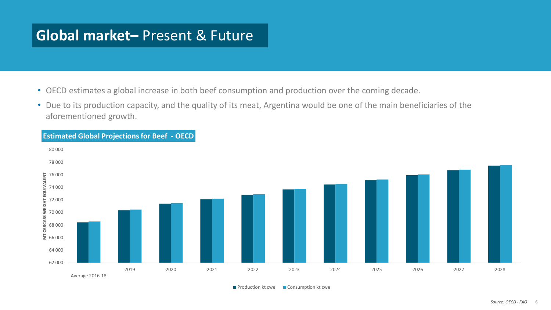### **Global market–** Present & Future

- OECD estimates a global increase in both beef consumption and production over the coming decade.
- Due to its production capacity, and the quality of its meat, Argentina would be one of the main beneficiaries of the aforementioned growth.



**Production kt cwe** Consumption kt cwe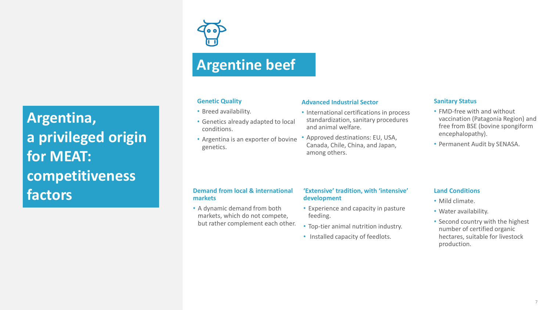**Argentina, a privileged origin for MEAT: competitiveness factors**

## **Argentine beef**

#### **Genetic Quality**

- Breed availability.
- Genetics already adapted to local conditions.
- Argentina is an exporter of bovine genetics.

#### **Advanced Industrial Sector**

- International certifications in process standardization, sanitary procedures and animal welfare.
- Approved destinations: EU, USA, Canada, Chile, China, and Japan, among others.

#### **Sanitary Status**

- FMD-free with and without vaccination (Patagonia Region) and free from BSE (bovine spongiform encephalopathy).
- Permanent Audit by SENASA.

#### **Demand from local & international markets**

• A dynamic demand from both markets, which do not compete, but rather complement each other.

#### **'Extensive' tradition, with 'intensive' development**

- Experience and capacity in pasture feeding.
- Top-tier animal nutrition industry.
- Installed capacity of feedlots.

#### **Land Conditions**

- Mild climate.
- Water availability.
- Second country with the highest number of certified organic hectares, suitable for livestock production.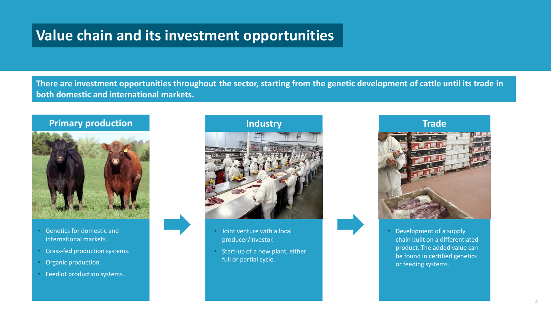### **Value chain and its investment opportunities**

**There are investment opportunities throughout the sector, starting from the genetic development of cattle until its trade in both domestic and international markets.** 



- Genetics for domestic and international markets.
- Grass-fed production systems.
- Organic production.
- Feedlot production systems.



- Joint venture with a local producer/investor.
- Start-up of a new plant, either full or partial cycle.



• Development of a supply chain built on a differentiated product. The added value can be found in certified genetics or feeding systems.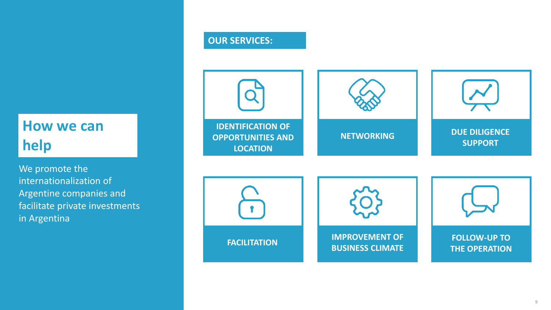## **How we can help**

We promote the internationalization of Argentine companies and facilitate private investments in Argentina

### **OUR SERVICES:**